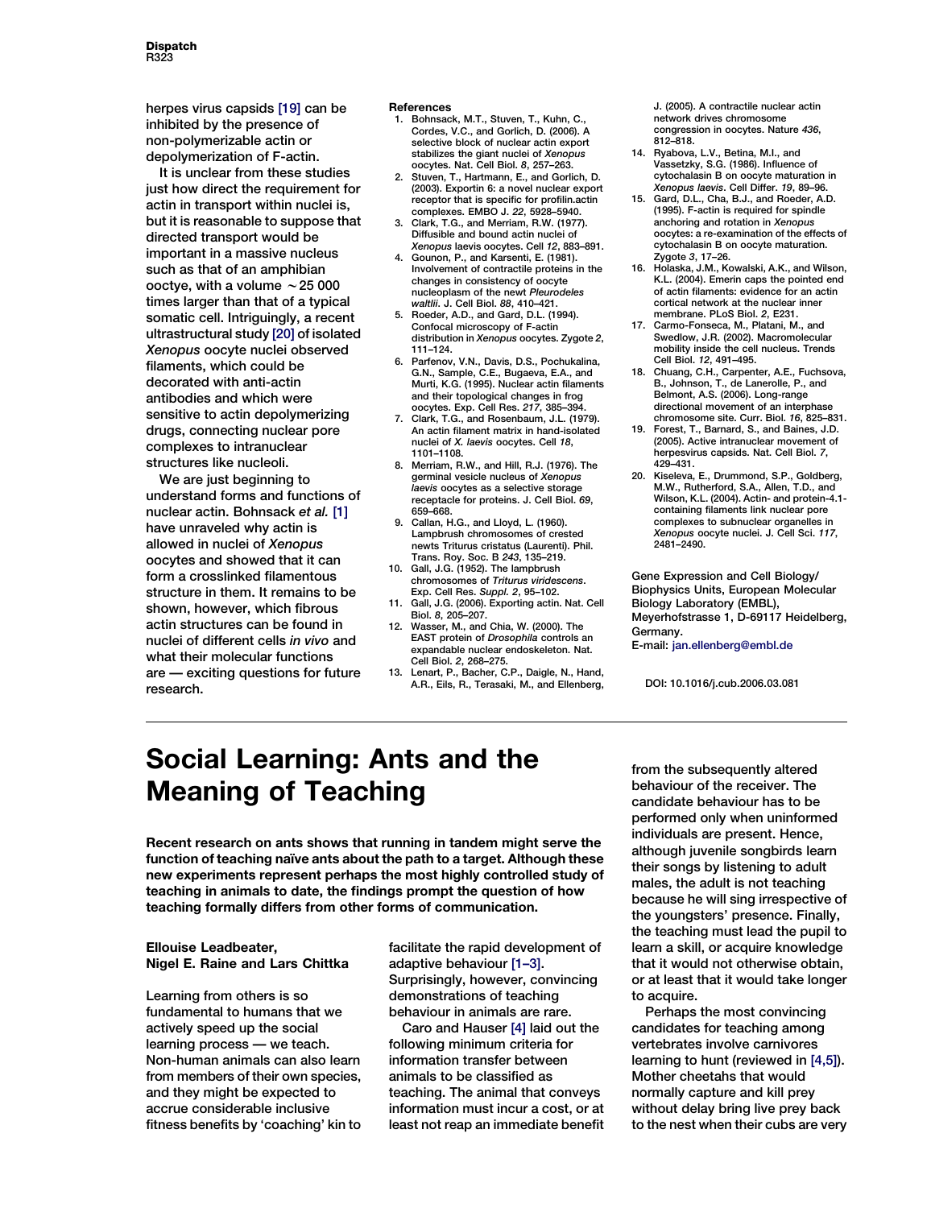herpes virus capsids [19] can be inhibited by the presence of non-polymerizable actin or depolymerization of F-actin.

It is unclear from these studies just how direct the requirement for actin in transport within nuclei is, but it is reasonable to suppose that directed transport would be important in a massive nucleus such as that of an amphibian ooctye, with a volume  $\sim$  25 000 times larger than that of a typical somatic cell. Intriguingly, a recent ultrastructural study [20] of isolated Xenopus oocyte nuclei observed filaments, which could be decorated with anti-actin antibodies and which were sensitive to actin depolymerizing drugs, connecting nuclear pore complexes to intranuclear structures like nucleoli.

We are just beginning to understand forms and functions of nuclear actin. Bohnsack et al. [1] have unraveled why actin is allowed in nuclei of Xenopus oocytes and showed that it can form a crosslinked filamentous structure in them. It remains to be shown, however, which fibrous actin structures can be found in nuclei of different cells in vivo and what their molecular functions are — exciting questions for future research.

## References

- 1. Bohnsack, M.T., Stuven, T., Kuhn, C. Cordes, V.C., and Gorlich, D. (2006). A selective block of nuclear actin export stabilizes the giant nuclei of Xenopus oocytes. Nat. Cell Biol. 8, 257–263.
- 2. Stuven, T., Hartmann, E., and Gorlich, D. (2003). Exportin 6: a novel nuclear export receptor that is specific for profilin.actin complexes. EMBO J. 22, 5928–5940.
- 3. Clark, T.G., and Merriam, R.W. (1977). Diffusible and bound actin nuclei of Xenopus laevis oocytes. Cell 12, 883–891.
- 4. Gounon, P., and Karsenti, E. (1981). Involvement of contractile proteins in the changes in consistency of oocyte nucleoplasm of the newt Pleurodeles waltlii. J. Cell Biol. 88, 410–421.
- 5. Roeder, A.D., and Gard, D.L. (1994). Confocal microscopy of F-actin distribution in Xenopus oocytes. Zygote 2, 111–124.
- Parfenov, V.N., Davis, D.S., Pochukalina, G.N., Sample, C.E., Bugaeva, E.A., and Murti, K.G. (1995). Nuclear actin filaments and their topological changes in frog oocytes. Exp. Cell Res. 217, 385–394.
- 7. Clark, T.G., and Rosenbaum, J.L. (1979). An actin filament matrix in hand-isolated nuclei of X. laevis oocytes. Cell 18, 1101–1108.
- 8. Merriam, R.W., and Hill, R.J. (1976). The germinal vesicle nucleus of Xenopus laevis oocytes as a selective storage receptacle for proteins. J. Cell Biol. 69, 659–668.
- 9. Callan, H.G., and Lloyd, L. (1960). Lampbrush chromosomes of crested newts Triturus cristatus (Laurenti). Phil. Trans. Roy. Soc. B 243, 135–219.
- 10. Gall, J.G. (1952). The lampbrush chromosomes of Triturus viridescens. Exp. Cell Res. Suppl. 2, 95–102.
- 11. Gall, J.G. (2006). Exporting actin. Nat. Cell Biol. 8, 205–207.
- 12. Wasser, M., and Chia, W. (2000). The EAST protein of Drosophila controls an expandable nuclear endoskeleton. Nat. Cell Biol. 2, 268–275.
- 13. Lenart, P., Bacher, C.P., Daigle, N., Hand, A.R., Eils, R., Terasaki, M., and Ellenberg,

J. (2005). A contractile nuclear actin network drives chromosome congression in oocytes. Nature 436, 812–818.

- 14. Ryabova, L.V., Betina, M.I., and Vassetzky, S.G. (1986). Influence of cytochalasin B on oocyte maturation in Xenopus laevis. Cell Differ. 19, 89–96.
- 15. Gard, D.L., Cha, B.J., and Roeder, A.D. (1995). F-actin is required for spindle anchoring and rotation in Xenopus oocytes: a re-examination of the effects of cytochalasin B on oocyte maturation. Zygote 3, 17–26.
- 16. Holaska, J.M., Kowalski, A.K., and Wilson, K.L. (2004). Emerin caps the pointed end of actin filaments: evidence for an actin cortical network at the nuclear inner membrane. PLoS Biol. 2, E231.
- 17. Carmo-Fonseca, M., Platani, M., and Swedlow, J.R. (2002). Macromolecular mobility inside the cell nucleus. Trends Cell Biol. 12, 491–495.
- 18. Chuang, C.H., Carpenter, A.E., Fuchsova, B., Johnson, T., de Lanerolle, P., and Belmont, A.S. (2006). Long-range directional movement of an interphase chromosome site. Curr. Biol. 16, 825–831.
- 19. Forest, T., Barnard, S., and Baines, J.D. (2005). Active intranuclear movement of herpesvirus capsids. Nat. Cell Biol. 7, 429–431.
- 20. Kiseleva, E., Drummond, S.P., Goldberg, M.W., Rutherford, S.A., Allen, T.D., and Wilson, K.L. (2004). Actin- and protein-4.1 containing filaments link nuclear pore complexes to subnuclear organelles in Xenopus oocyte nuclei. J. Cell Sci. 117, 2481–2490.

Gene Expression and Cell Biology/ Biophysics Units, European Molecular Biology Laboratory (EMBL), Meyerhofstrasse 1, D-69117 Heidelberg, Germany.

E-mail: jan.ellenberg@embl.de

DOI: 10.1016/j.cub.2006.03.081

## Social Learning: Ants and the Meaning of Teaching

Recent research on ants shows that running in tandem might serve the function of teaching naïve ants about the path to a target. Although these new experiments represent perhaps the most highly controlled study of teaching in animals to date, the findings prompt the question of how teaching formally differs from other forms of communication.

## Ellouise Leadbeater, Nigel E. Raine and Lars Chittka

Learning from others is so fundamental to humans that we actively speed up the social learning process — we teach. Non-human animals can also learn from members of their own species, and they might be expected to accrue considerable inclusive fitness benefits by 'coaching' kin to facilitate the rapid development of adaptive behaviour [\[1–3\].](#page-2-0) Surprisingly, however, convincing demonstrations of teaching behaviour in animals are rare.

Caro and Hauser [\[4\]](#page-2-0) laid out the following minimum criteria for information transfer between animals to be classified as teaching. The animal that conveys information must incur a cost, or at least not reap an immediate benefit from the subsequently altered behaviour of the receiver. The candidate behaviour has to be performed only when uninformed individuals are present. Hence, although juvenile songbirds learn their songs by listening to adult males, the adult is not teaching because he will sing irrespective of the youngsters' presence. Finally, the teaching must lead the pupil to learn a skill, or acquire knowledge that it would not otherwise obtain, or at least that it would take longer to acquire.

Perhaps the most convincing candidates for teaching among vertebrates involve carnivores learning to hunt (reviewed in [\[4,5\]\)](#page-2-0). Mother cheetahs that would normally capture and kill prey without delay bring live prey back to the nest when their cubs are very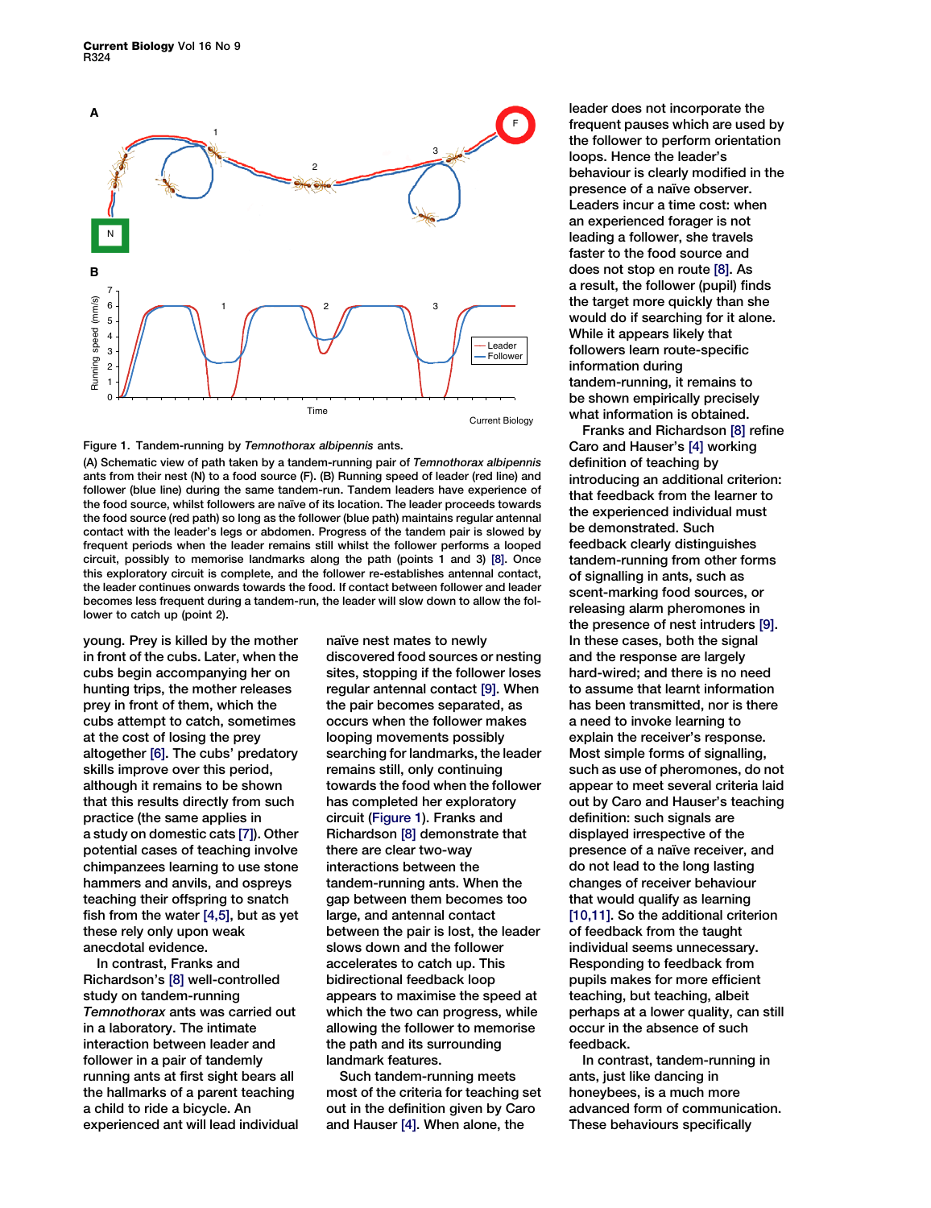



(A) Schematic view of path taken by a tandem-running pair of Temnothorax albipennis ants from their nest (N) to a food source (F). (B) Running speed of leader (red line) and follower (blue line) during the same tandem-run. Tandem leaders have experience of the food source, whilst followers are naı̈ve of its location. The leader proceeds towards the food source (red path) so long as the follower (blue path) maintains regular antennal contact with the leader's legs or abdomen. Progress of the tandem pair is slowed by frequent periods when the leader remains still whilst the follower performs a looped circuit, possibly to memorise landmarks along the path (points 1 and 3) [8]. Once this exploratory circuit is complete, and the follower re-establishes antennal contact, the leader continues onwards towards the food. If contact between follower and leader becomes less frequent during a tandem-run, the leader will slow down to allow the follower to catch up (point 2).

young. Prey is killed by the mother in front of the cubs. Later, when the cubs begin accompanying her on hunting trips, the mother releases prey in front of them, which the cubs attempt to catch, sometimes at the cost of losing the prey altogether [\[6\]](#page-2-0). The cubs' predatory skills improve over this period, although it remains to be shown that this results directly from such practice (the same applies in a study on domestic cats [\[7\]](#page-2-0)). Other potential cases of teaching involve chimpanzees learning to use stone hammers and anvils, and ospreys teaching their offspring to snatch fish from the water  $[4,5]$ , but as yet these rely only upon weak anecdotal evidence.

In contrast, Franks and Richardson's [\[8\]](#page-2-0) well-controlled study on tandem-running Temnothorax ants was carried out in a laboratory. The intimate interaction between leader and follower in a pair of tandemly running ants at first sight bears all the hallmarks of a parent teaching a child to ride a bicycle. An experienced ant will lead individual naïve nest mates to newly discovered food sources or nesting sites, stopping if the follower loses regular antennal contact [\[9\].](#page-2-0) When the pair becomes separated, as occurs when the follower makes looping movements possibly searching for landmarks, the leader remains still, only continuing towards the food when the follower has completed her exploratory circuit (Figure 1). Franks and Richardson [\[8\]](#page-2-0) demonstrate that there are clear two-way interactions between the tandem-running ants. When the gap between them becomes too large, and antennal contact between the pair is lost, the leader slows down and the follower accelerates to catch up. This bidirectional feedback loop appears to maximise the speed at which the two can progress, while allowing the follower to memorise the path and its surrounding landmark features.

Such tandem-running meets most of the criteria for teaching set out in the definition given by Caro and Hauser [\[4\].](#page-2-0) When alone, the

leader does not incorporate the frequent pauses which are used by the follower to perform orientation loops. Hence the leader's behaviour is clearly modified in the presence of a naïve observer. Leaders incur a time cost: when an experienced forager is not leading a follower, she travels faster to the food source and does not stop en route [\[8\].](#page-2-0) As a result, the follower (pupil) finds the target more quickly than she would do if searching for it alone. While it appears likely that followers learn route-specific information during tandem-running, it remains to be shown empirically precisely what information is obtained.

Franks and Richardson [\[8\]](#page-2-0) refine Caro and Hauser's [\[4\]](#page-2-0) working definition of teaching by introducing an additional criterion: that feedback from the learner to the experienced individual must be demonstrated. Such feedback clearly distinguishes tandem-running from other forms of signalling in ants, such as scent-marking food sources, or releasing alarm pheromones in the presence of nest intruders [[9\].](#page-2-0) In these cases, both the signal and the response are largely hard-wired; and there is no need to assume that learnt information has been transmitted, nor is there a need to invoke learning to explain the receiver's response. Most simple forms of signalling, such as use of pheromones, do not appear to meet several criteria laid out by Caro and Hauser's teaching definition: such signals are displayed irrespective of the presence of a naïve receiver, and do not lead to the long lasting changes of receiver behaviour that would qualify as learning [\[10,11\].](#page-2-0) So the additional criterion of feedback from the taught individual seems unnecessary. Responding to feedback from pupils makes for more efficient teaching, but teaching, albeit perhaps at a lower quality, can still occur in the absence of such feedback.

In contrast, tandem-running in ants, just like dancing in honeybees, is a much more advanced form of communication. These behaviours specifically